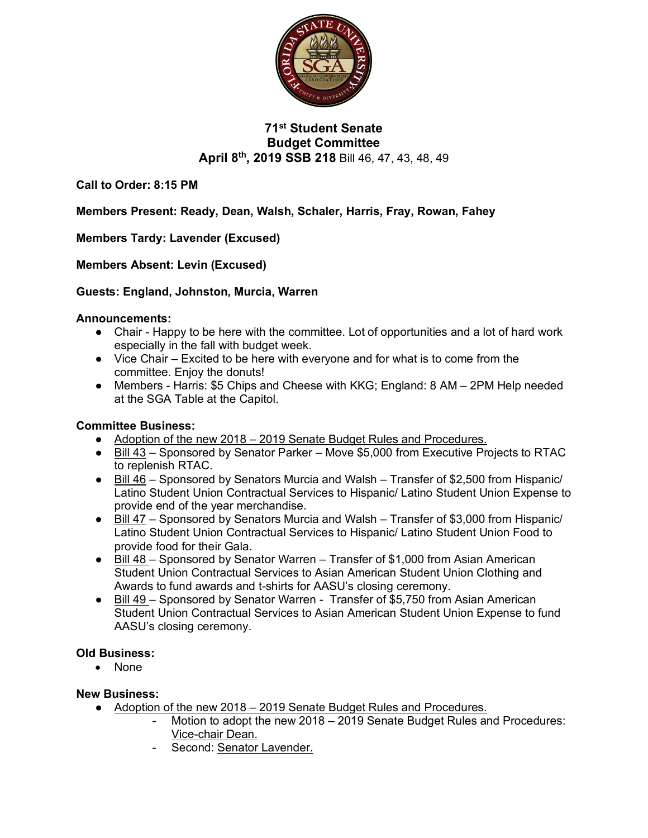

## **71st Student Senate Budget Committee April 8th, 2019 SSB 218** Bill 46, 47, 43, 48, 49

**Call to Order: 8:15 PM**

**Members Present: Ready, Dean, Walsh, Schaler, Harris, Fray, Rowan, Fahey**

**Members Tardy: Lavender (Excused)**

**Members Absent: Levin (Excused)**

### **Guests: England, Johnston, Murcia, Warren**

#### **Announcements:**

- Chair Happy to be here with the committee. Lot of opportunities and a lot of hard work especially in the fall with budget week.
- Vice Chair Excited to be here with everyone and for what is to come from the committee. Enjoy the donuts!
- Members Harris: \$5 Chips and Cheese with KKG; England: 8 AM 2PM Help needed at the SGA Table at the Capitol.

### **Committee Business:**

- Adoption of the new 2018 2019 Senate Budget Rules and Procedures.
- Bill 43 Sponsored by Senator Parker Move \$5,000 from Executive Projects to RTAC to replenish RTAC.
- Bill 46 Sponsored by Senators Murcia and Walsh Transfer of \$2,500 from Hispanic/ Latino Student Union Contractual Services to Hispanic/ Latino Student Union Expense to provide end of the year merchandise.
- Bill 47 Sponsored by Senators Murcia and Walsh Transfer of \$3,000 from Hispanic/ Latino Student Union Contractual Services to Hispanic/ Latino Student Union Food to provide food for their Gala.
- Bill 48 Sponsored by Senator Warren Transfer of \$1,000 from Asian American Student Union Contractual Services to Asian American Student Union Clothing and Awards to fund awards and t-shirts for AASU's closing ceremony.
- Bill 49 Sponsored by Senator Warren Transfer of \$5,750 from Asian American Student Union Contractual Services to Asian American Student Union Expense to fund AASU's closing ceremony.

### **Old Business:**

• None

### **New Business:**

- Adoption of the new 2018 2019 Senate Budget Rules and Procedures.
	- Motion to adopt the new 2018 2019 Senate Budget Rules and Procedures: Vice-chair Dean.
	- Second: Senator Lavender.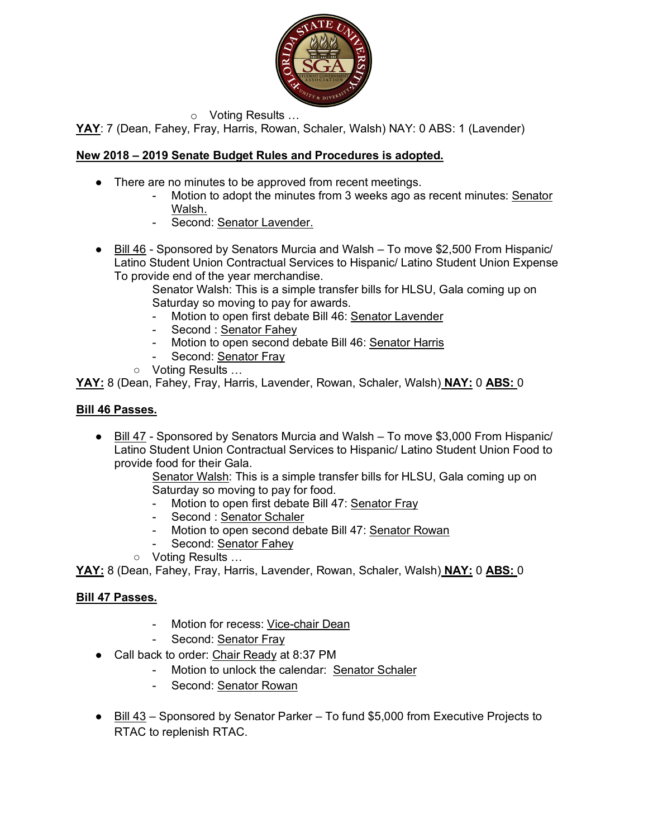

o Voting Results …

**YAY**: 7 (Dean, Fahey, Fray, Harris, Rowan, Schaler, Walsh) NAY: 0 ABS: 1 (Lavender)

## **New 2018 – 2019 Senate Budget Rules and Procedures is adopted.**

- There are no minutes to be approved from recent meetings.
	- Motion to adopt the minutes from 3 weeks ago as recent minutes: Senator Walsh.
	- Second: Senator Lavender.
- Bill 46 Sponsored by Senators Murcia and Walsh To move \$2,500 From Hispanic/ Latino Student Union Contractual Services to Hispanic/ Latino Student Union Expense To provide end of the year merchandise.

Senator Walsh: This is a simple transfer bills for HLSU, Gala coming up on Saturday so moving to pay for awards.

- Motion to open first debate Bill 46: Senator Lavender
- Second : Senator Fahey
- Motion to open second debate Bill 46: Senator Harris
- Second: Senator Fray
- Voting Results …

**YAY:** 8 (Dean, Fahey, Fray, Harris, Lavender, Rowan, Schaler, Walsh) **NAY:** 0 **ABS:** 0

### **Bill 46 Passes.**

● Bill 47 - Sponsored by Senators Murcia and Walsh – To move \$3,000 From Hispanic/ Latino Student Union Contractual Services to Hispanic/ Latino Student Union Food to provide food for their Gala.

Senator Walsh: This is a simple transfer bills for HLSU, Gala coming up on Saturday so moving to pay for food.

- Motion to open first debate Bill 47: Senator Fray
- Second : Senator Schaler
- Motion to open second debate Bill 47: Senator Rowan
- Second: Senator Fahey
- Voting Results …

**YAY:** 8 (Dean, Fahey, Fray, Harris, Lavender, Rowan, Schaler, Walsh) **NAY:** 0 **ABS:** 0

### **Bill 47 Passes.**

- Motion for recess: Vice-chair Dean
- Second: Senator Fray
- Call back to order: Chair Ready at 8:37 PM
	- Motion to unlock the calendar: Senator Schaler
	- Second: Senator Rowan
- Bill 43 Sponsored by Senator Parker To fund \$5,000 from Executive Projects to RTAC to replenish RTAC.